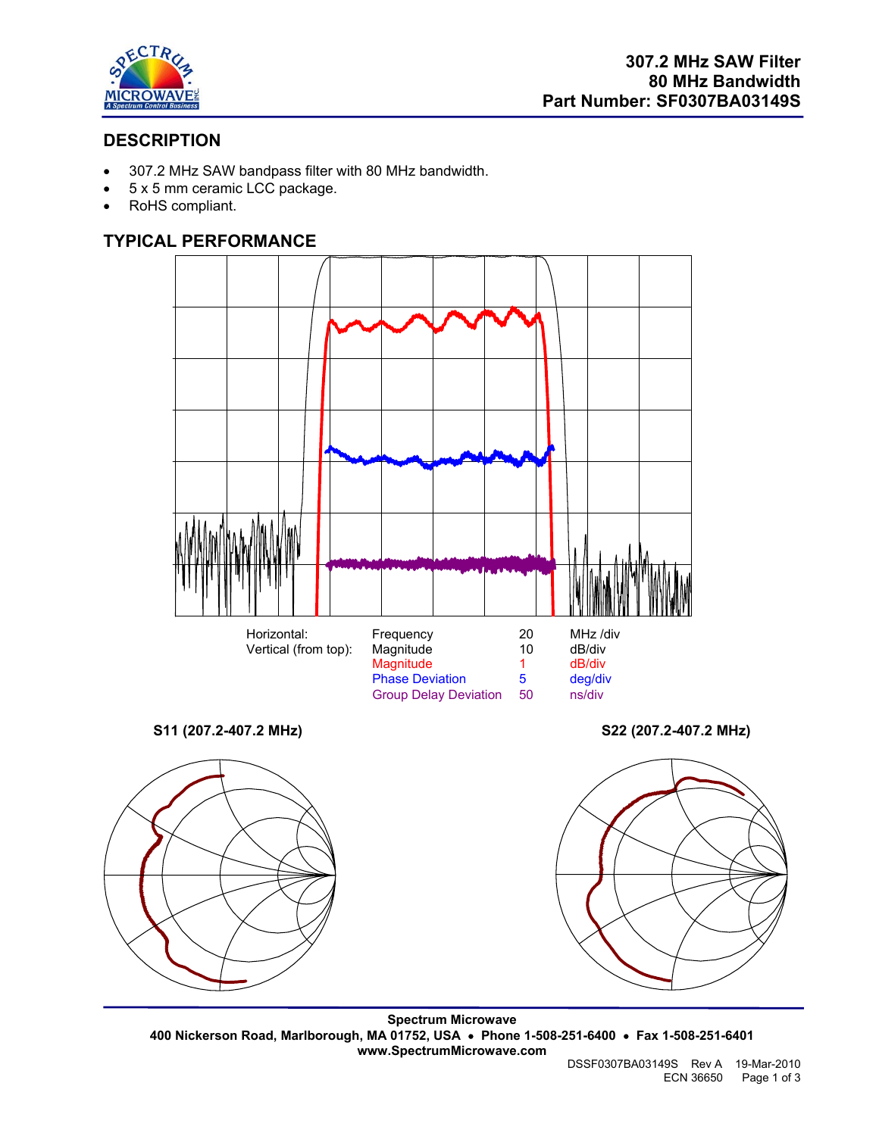

# **DESCRIPTION**

- 307.2 MHz SAW bandpass filter with 80 MHz bandwidth.
- 5 x 5 mm ceramic LCC package.
- RoHS compliant.

## **TYPICAL PERFORMANCE**





**Spectrum Microwave 400 Nickerson Road, Marlborough, MA 01752, USA** • **Phone 1-508-251-6400** • **Fax 1-508-251-6401 www.SpectrumMicrowave.com**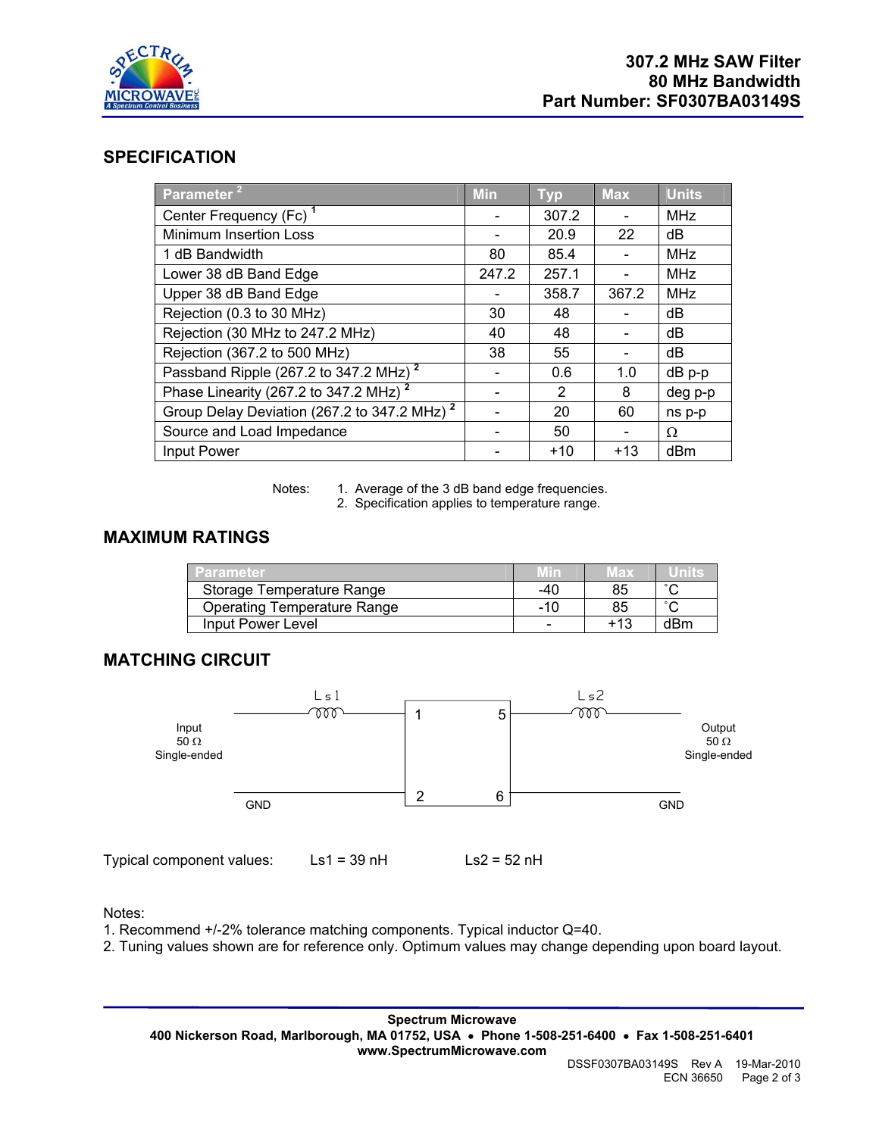

#### **SPECIFICATION**

| Parameter <sup>2</sup>                                  | <b>Min</b> | <b>Typ</b> | <b>Max</b> | <b>Units</b> |
|---------------------------------------------------------|------------|------------|------------|--------------|
| Center Frequency (Fc) <sup>1</sup>                      |            | 307.2      |            | <b>MHz</b>   |
| <b>Minimum Insertion Loss</b>                           |            | 20.9       | 22         | dB           |
| 1 dB Bandwidth                                          | 80         | 85.4       |            | <b>MHz</b>   |
| Lower 38 dB Band Edge                                   | 247.2      | 257.1      |            | <b>MHz</b>   |
| Upper 38 dB Band Edge                                   |            | 358.7      | 367.2      | <b>MHz</b>   |
| Rejection (0.3 to 30 MHz)                               | 30         | 48         |            | dB           |
| Rejection (30 MHz to 247.2 MHz)                         | 40         | 48         |            | dB           |
| Rejection (367.2 to 500 MHz)                            | 38         | 55         |            | dB           |
| Passband Ripple (267.2 to 347.2 MHz) <sup>2</sup>       |            | 0.6        | 1.0        | dB p-p       |
| Phase Linearity (267.2 to 347.2 MHz) <sup>2</sup>       |            | 2          | 8          | deg p-p      |
| Group Delay Deviation (267.2 to 347.2 MHz) <sup>2</sup> |            | 20         | 60         | ns p-p       |
| Source and Load Impedance                               |            | 50         |            | Ω            |
| Input Power                                             |            | $+10$      | $+13$      | dBm          |

Notes: 1. Average of the 3 dB band edge frequencies.

2. Specification applies to temperature range.

## **MAXIMUM RATINGS**

| <b>Parameter</b>                   | Min | Max   |        |
|------------------------------------|-----|-------|--------|
| Storage Temperature Range          | -40 | 85    | $\sim$ |
| <b>Operating Temperature Range</b> | -10 | 85    | $\sim$ |
| Input Power Level                  | -   | $+13$ | dBm    |

## **MATCHING CIRCUIT**



Notes:

1. Recommend +/-2% tolerance matching components. Typical inductor Q=40.

2. Tuning values shown are for reference only. Optimum values may change depending upon board layout.

**Spectrum Microwave 400 Nickerson Road, Marlborough, MA 01752, USA** • **Phone 1-508-251-6400** • **Fax 1-508-251-6401 www.SpectrumMicrowave.com**